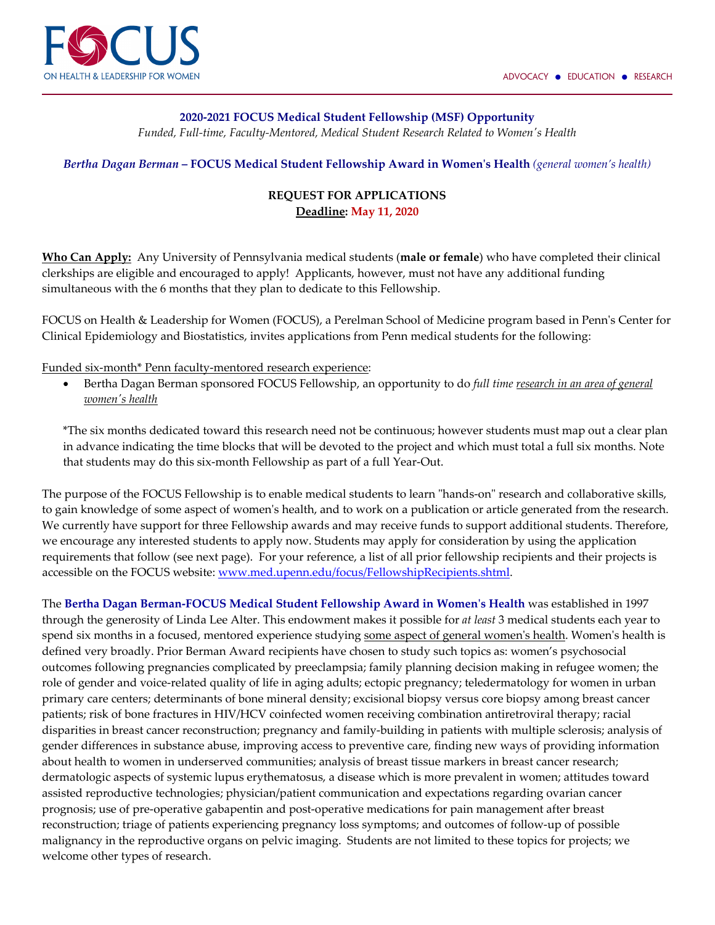

## **2020-2021 FOCUS Medical Student Fellowship (MSF) Opportunity**

*Funded, Full-time, Faculty-Mentored, Medical Student Research Related to Women's Health*

*Bertha Dagan Berman* **– FOCUS Medical Student Fellowship Award in Women's Health** *(general women's health)*

## **REQUEST FOR APPLICATIONS Deadline: May 11, 2020**

**Who Can Apply:** Any University of Pennsylvania medical students (**male or female**) who have completed their clinical clerkships are eligible and encouraged to apply! Applicants, however, must not have any additional funding simultaneous with the 6 months that they plan to dedicate to this Fellowship.

FOCUS on Health & Leadership for Women (FOCUS), a Perelman School of Medicine program based in Penn's Center for Clinical Epidemiology and Biostatistics, invites applications from Penn medical students for the following:

Funded six-month\* Penn faculty-mentored research experience:

• Bertha Dagan Berman sponsored FOCUS Fellowship, an opportunity to do *full time research in an area of general women's health*

\*The six months dedicated toward this research need not be continuous; however students must map out a clear plan in advance indicating the time blocks that will be devoted to the project and which must total a full six months. Note that students may do this six-month Fellowship as part of a full Year-Out.

The purpose of the FOCUS Fellowship is to enable medical students to learn "hands-on" research and collaborative skills, to gain knowledge of some aspect of women's health, and to work on a publication or article generated from the research. We currently have support for three Fellowship awards and may receive funds to support additional students. Therefore, we encourage any interested students to apply now. Students may apply for consideration by using the application requirements that follow (see next page). For your reference, a list of all prior fellowship recipients and their projects is accessible on the FOCUS website: [www.med.upenn.edu/focus/FellowshipRecipients.shtml.](http://www.med.upenn.edu/focus/FellowshipRecipients.shtml)

The **Bertha Dagan Berman-FOCUS Medical Student Fellowship Award in Women's Health** was established in 1997 through the generosity of Linda Lee Alter. This endowment makes it possible for *at least* 3 medical students each year to spend six months in a focused, mentored experience studying some aspect of general women's health. Women's health is defined very broadly. Prior Berman Award recipients have chosen to study such topics as: women's psychosocial outcomes following pregnancies complicated by preeclampsia; family planning decision making in refugee women; the role of gender and voice-related quality of life in aging adults; ectopic pregnancy; teledermatology for women in urban primary care centers; determinants of bone mineral density; excisional biopsy versus core biopsy among breast cancer patients; risk of bone fractures in HIV/HCV coinfected women receiving combination antiretroviral therapy; racial disparities in breast cancer reconstruction; pregnancy and family-building in patients with multiple sclerosis; analysis of gender differences in substance abuse, improving access to preventive care, finding new ways of providing information about health to women in underserved communities; analysis of breast tissue markers in breast cancer research; dermatologic aspects of systemic lupus erythematosus, a disease which is more prevalent in women; attitudes toward assisted reproductive technologies; physician/patient communication and expectations regarding ovarian cancer prognosis; use of pre-operative gabapentin and post-operative medications for pain management after breast reconstruction; triage of patients experiencing pregnancy loss symptoms; and outcomes of follow-up of possible malignancy in the reproductive organs on pelvic imaging. Students are not limited to these topics for projects; we welcome other types of research.